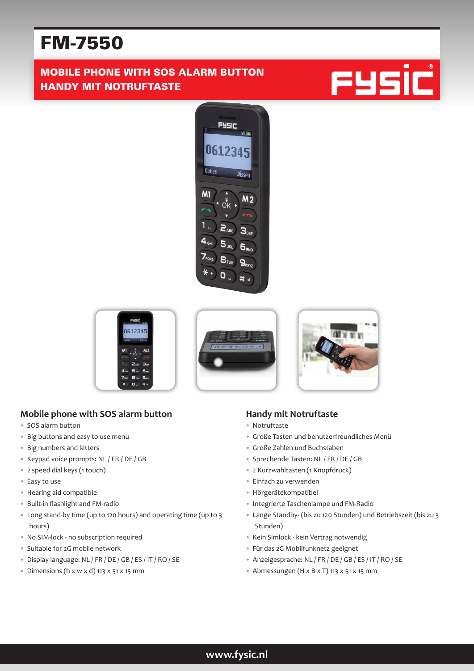# FM-7550

# MOBILE PHONE WITH SOS ALARM BUTTON HANDY MIT NOTRUFTASTE











#### **Mobile phone with SOS alarm button**

- SOS alarm button
- Big buttons and easy to use menu
- Big numbers and letters
- Keypad voice prompts: NL / FR / DE / GB
- 2 speed dial keys (1 touch)
- Easy to use
- Hearing aid compatible
- Built-in flashlight and FM-radio
- Long stand-by time (up to 120 hours) and operating time (up to 3 hours)
- No SIM-lock no subscription required
- Suitable for 2G mobile network
- Display language: NL / FR / DE / GB / ES / IT / RO / SE
- $\bullet$  Dimensions (h x w x d) 113 x 51 x 15 mm

#### **Handy mit Notruftaste**

- Notruftaste
- Große Tasten und benutzerfreundliches Menü
- Große Zahlen und Buchstaben
- Sprechende Tasten: NL / FR / DE / GB
- 2 Kurzwahltasten (1 Knopfdruck)
- Einfach zu verwenden
- Hörgerätekompatibel
- Integrierte Taschenlampe und FM-Radio
- Lange Standby- (bis zu 120 Stunden) und Betriebszeit (bis zu 3 Stunden)
- Kein Simlock kein Vertrag notwendig
- Für das 2G Mobilfunknetz geeignet
- Anzeigesprache: NL / FR / DE / GB / ES / IT / RO / SE
- Abmessungen (H x B x T) 113 x 51 x 15 mm

## **www.fysic.nl**